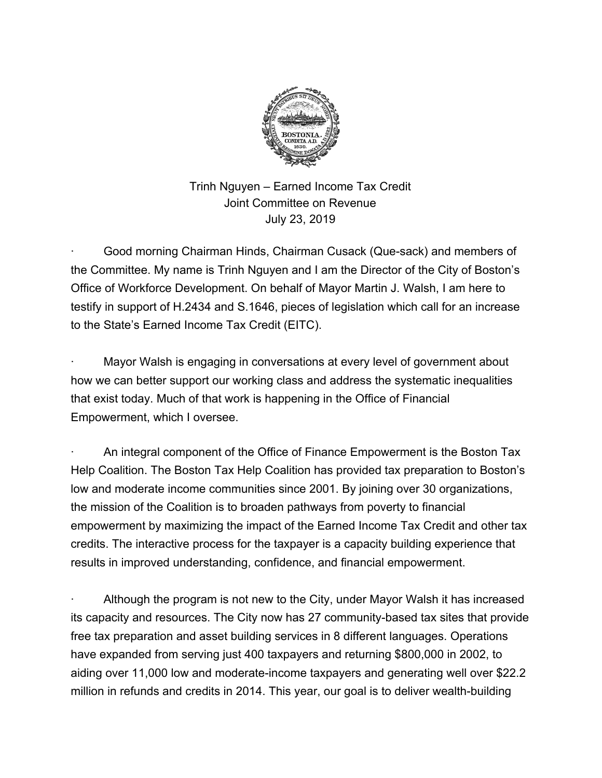

Trinh Nguyen – Earned Income Tax Credit Joint Committee on Revenue July 23, 2019

Good morning Chairman Hinds, Chairman Cusack (Que-sack) and members of the Committee. My name is Trinh Nguyen and I am the Director of the City of Boston's Office of Workforce Development. On behalf of Mayor Martin J. Walsh, I am here to testify in support of H.2434 and S.1646, pieces of legislation which call for an increase to the State's Earned Income Tax Credit (EITC).

Mayor Walsh is engaging in conversations at every level of government about how we can better support our working class and address the systematic inequalities that exist today. Much of that work is happening in the Office of Financial Empowerment, which I oversee.

· An integral component of the Office of Finance Empowerment is the Boston Tax Help Coalition. The Boston Tax Help Coalition has provided tax preparation to Boston's low and moderate income communities since 2001. By joining over 30 organizations, the mission of the Coalition is to broaden pathways from poverty to financial empowerment by maximizing the impact of the Earned Income Tax Credit and other tax credits. The interactive process for the taxpayer is a capacity building experience that results in improved understanding, confidence, and financial empowerment.

Although the program is not new to the City, under Mayor Walsh it has increased its capacity and resources. The City now has 27 community-based tax sites that provide free tax preparation and asset building services in 8 different languages. Operations have expanded from serving just 400 taxpayers and returning \$800,000 in 2002, to aiding over 11,000 low and moderate-income taxpayers and generating well over \$22.2 million in refunds and credits in 2014. This year, our goal is to deliver wealth-building